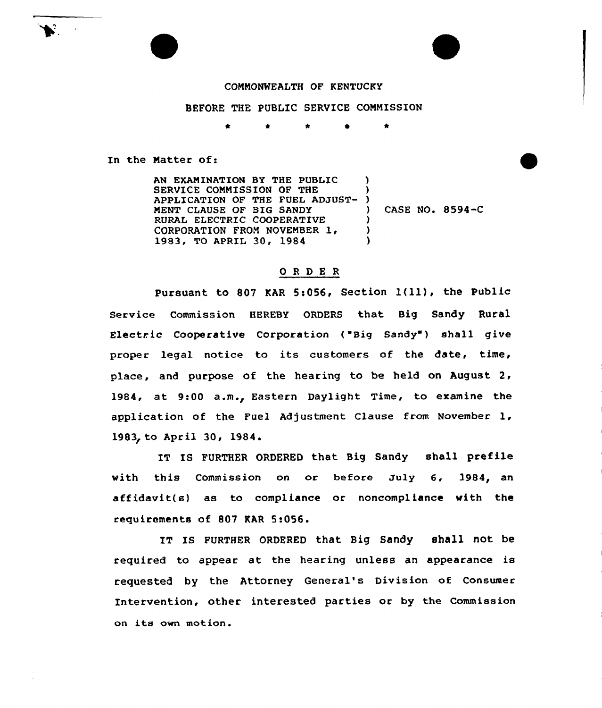## COMMONWEALTH OF KENTUCKY

BEFORE THE PUBLIC SERVICE COMMISSION

In the Matter of:

AN EXAMINATION BY THE PUBLIC SERVICE COMMISSION OF THE APPLICATION OF THE FUEL ADJUST-MENT CLAUSE OF BIG SANDY RURAL ELECTRIC COOPERATIVE CORPORATION FROM NOVEMBER 1, 1983, TO APRIL 30, 1984 ) ) ) ) CASE NO. 8594-C )  $\lambda$  $\lambda$ 

## ORDE <sup>R</sup>

Pursuant to 807 KAR 5:056, Section 1(11), the Public Service Commission HEREBY ORDERS that Big Sandy Rural Electric Cooperative Corporation ("Big Sandy") shall give proper legal notice to its customers of the date, time, place, and purpose of the hearing to be held on August 2, 1984, at 9:00 a.m., Eastern Daylight Time, to examine the application of the Fuel Adjustment Clause from November 1, 1983, to April 30, 1984.

IT IS FURTHER ORDERED that Big Sandy shall prefile with this Commission on or before July 6, 1984, an affidavit(s) as to compliance or noncompliance with the requirements of 807 MAR 5:056.

IT IS FURTHER ORDERED that Big Sandy shall not be required to appear at the hearing unless an appearance is requested by the Attorney General's Division of Consumer Intervention, other interested parties or by the Commission on its own motion.